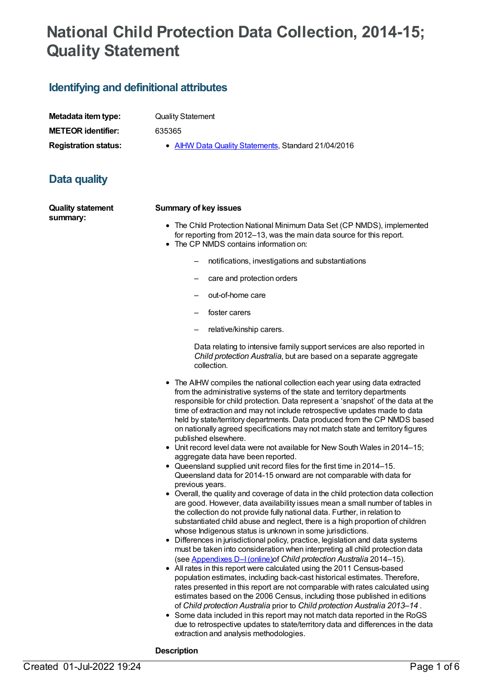# **National Child Protection Data Collection, 2014-15; Quality Statement**

### **Identifying and definitional attributes**

| Metadata item type:         |
|-----------------------------|
| <b>METEOR identifier:</b>   |
| <b>Registration status:</b> |

**Quality Statement** 

**METEOR identifier:** 635365

**AIHW Data Quality [Statements](https://meteor.aihw.gov.au/RegistrationAuthority/5), Standard 21/04/2016** 

## **Data quality**

**Quality statement summary:**

#### **Summary of key issues**

- The Child Protection National Minimum Data Set (CP NMDS), implemented for reporting from 2012–13, was the main data source for this report. • The CP NMDS contains information on:
	- - notifications, investigations and substantiations
		- care and protection orders
		- out-of-home care
		- foster carers
		- relative/kinship carers.

Data relating to intensive family support services are also reported in *Child protection Australia*, but are based on a separate aggregate collection.

- The AIHW compiles the national collection each year using data extracted from the administrative systems of the state and territory departments responsible for child protection. Data represent a 'snapshot' of the data at the time of extraction and may not include retrospective updates made to data held by state/territory departments. Data produced from the CP NMDS based on nationally agreed specifications may not match state and territory figures published elsewhere.
- Unit record level data were not available for New South Wales in 2014–15; aggregate data have been reported.
- Queensland supplied unit record files for the first time in 2014–15. Queensland data for 2014-15 onward are not comparable with data for previous years.
- Overall, the quality and coverage of data in the child protection data collection are good. However, data availability issues mean a small number of tables in the collection do not provide fully national data. Further, in relation to substantiated child abuse and neglect, there is a high proportion of children whose Indigenous status is unknown in some jurisdictions.
- Differences in jurisdictional policy, practice, legislation and data systems must be taken into consideration when interpreting all child protection data (see [Appendixes](http://www.aihw.gov.au/publication-detail/?id=60129554728) D–I(online)of *Child protection Australia* 2014–15).
- All rates in this report were calculated using the 2011 Census-based population estimates, including back-cast historical estimates. Therefore, rates presented in this report are not comparable with rates calculated using estimates based on the 2006 Census, including those published in editions of *Child protection Australia* prior to *Child protection Australia 2013–14* .
- Some data included in this report may not match data reported in the RoGS due to retrospective updates to state/territory data and differences in the data extraction and analysis methodologies.

#### **Description**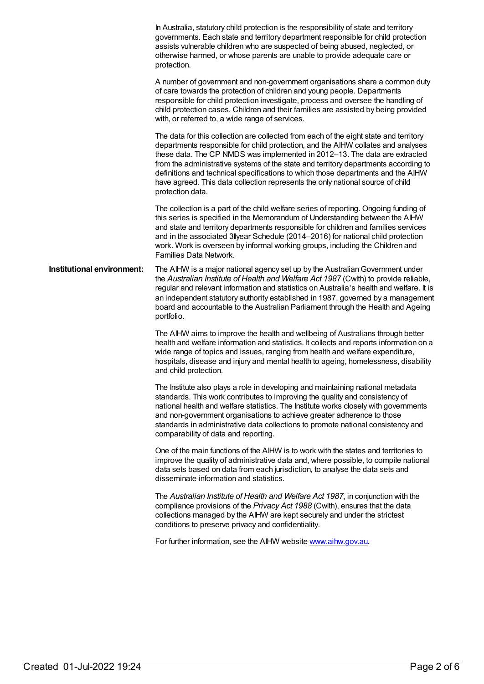In Australia, statutory child protection is the responsibility of state and territory governments. Each state and territory department responsible for child protection assists vulnerable children who are suspected of being abused, neglected, or otherwise harmed, or whose parents are unable to provide adequate care or protection. A number of government and non-government organisations share a common duty of care towards the protection of children and young people. Departments responsible for child protection investigate, process and oversee the handling of child protection cases. Children and their families are assisted by being provided with, or referred to, a wide range of services. The data for this collection are collected from each of the eight state and territory departments responsible for child protection, and the AIHW collates and analyses these data. The CP NMDS was implemented in 2012–13. The data are extracted from the administrative systems of the state and territory departments according to definitions and technical specifications to which those departments and the AIHW have agreed. This data collection represents the only national source of child protection data. The collection is a part of the child welfare series of reporting. Ongoing funding of this series is specified in the Memorandum of Understanding between the AIHW and state and territory departments responsible for children and families services and in the associated 3 year Schedule (2014–2016) for national child protection work. Work is overseen by informal working groups, including the Children and Families Data Network. **Institutional environment:** The AIHW is a major national agency set up by the Australian Government under the *Australian Institute of Health and Welfare Act 1987* (Cwlth) to provide reliable, regular and relevant information and statistics on Australia's health and welfare. It is an independent statutory authority established in 1987, governed by a management board and accountable to the Australian Parliament through the Health and Ageing portfolio. The AIHW aims to improve the health and wellbeing of Australians through better health and welfare information and statistics. It collects and reports information on a wide range of topics and issues, ranging from health and welfare expenditure, hospitals, disease and injury and mental health to ageing, homelessness, disability and child protection. The Institute also plays a role in developing and maintaining national metadata standards. This work contributes to improving the quality and consistency of national health and welfare statistics. The Institute works closely with governments and non-government organisations to achieve greater adherence to those standards in administrative data collections to promote national consistency and comparability of data and reporting. One of the main functions of the AIHW is to work with the states and territories to improve the quality of administrative data and, where possible, to compile national data sets based on data from each jurisdiction, to analyse the data sets and disseminate information and statistics. The *Australian Institute of Health and Welfare Act 1987*, in conjunction with the compliance provisions of the *Privacy Act 1988* (Cwlth), ensures that the data collections managed by the AIHW are kept securely and under the strictest conditions to preserve privacy and confidentiality. For further information, see the AIHW website [www.aihw.gov.au](http://www.aihw.gov.au).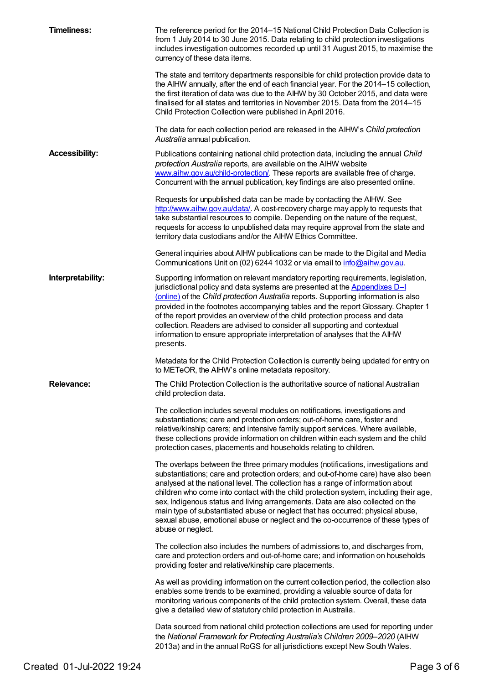| <b>Timeliness:</b>    | The reference period for the 2014–15 National Child Protection Data Collection is<br>from 1 July 2014 to 30 June 2015. Data relating to child protection investigations<br>includes investigation outcomes recorded up until 31 August 2015, to maximise the<br>currency of these data items.                                                                                                                                                                                                                                                                                                                                   |
|-----------------------|---------------------------------------------------------------------------------------------------------------------------------------------------------------------------------------------------------------------------------------------------------------------------------------------------------------------------------------------------------------------------------------------------------------------------------------------------------------------------------------------------------------------------------------------------------------------------------------------------------------------------------|
|                       | The state and territory departments responsible for child protection provide data to<br>the AIHW annually, after the end of each financial year. For the 2014–15 collection,<br>the first iteration of data was due to the AIHW by 30 October 2015, and data were<br>finalised for all states and territories in November 2015. Data from the 2014–15<br>Child Protection Collection were published in April 2016.                                                                                                                                                                                                              |
|                       | The data for each collection period are released in the AIHW's Child protection<br>Australia annual publication.                                                                                                                                                                                                                                                                                                                                                                                                                                                                                                                |
| <b>Accessibility:</b> | Publications containing national child protection data, including the annual Child<br>protection Australia reports, are available on the AIHW website<br>www.aihw.gov.au/child-protection/. These reports are available free of charge.<br>Concurrent with the annual publication, key findings are also presented online.                                                                                                                                                                                                                                                                                                      |
|                       | Requests for unpublished data can be made by contacting the AIHW. See<br>http://www.aihw.gov.au/data/. A cost-recovery charge may apply to requests that<br>take substantial resources to compile. Depending on the nature of the request,<br>requests for access to unpublished data may require approval from the state and<br>territory data custodians and/or the AIHW Ethics Committee.                                                                                                                                                                                                                                    |
|                       | General inquiries about AIHW publications can be made to the Digital and Media<br>Communications Unit on (02) 6244 1032 or via email to info@aihw.gov.au.                                                                                                                                                                                                                                                                                                                                                                                                                                                                       |
| Interpretability:     | Supporting information on relevant mandatory reporting requirements, legislation,<br>jurisdictional policy and data systems are presented at the <b>Appendixes D-I</b><br>(online) of the Child protection Australia reports. Supporting information is also<br>provided in the footnotes accompanying tables and the report Glossary. Chapter 1<br>of the report provides an overview of the child protection process and data<br>collection. Readers are advised to consider all supporting and contextual<br>information to ensure appropriate interpretation of analyses that the AIHW<br>presents.                         |
|                       | Metadata for the Child Protection Collection is currently being updated for entry on<br>to METeOR, the AIHW's online metadata repository.                                                                                                                                                                                                                                                                                                                                                                                                                                                                                       |
| <b>Relevance:</b>     | The Child Protection Collection is the authoritative source of national Australian<br>child protection data.                                                                                                                                                                                                                                                                                                                                                                                                                                                                                                                    |
|                       | The collection includes several modules on notifications, investigations and<br>substantiations; care and protection orders; out-of-home care, foster and<br>relative/kinship carers; and intensive family support services. Where available,<br>these collections provide information on children within each system and the child<br>protection cases, placements and households relating to children.                                                                                                                                                                                                                        |
|                       | The overlaps between the three primary modules (notifications, investigations and<br>substantiations; care and protection orders; and out-of-home care) have also been<br>analysed at the national level. The collection has a range of information about<br>children who come into contact with the child protection system, including their age,<br>sex, Indigenous status and living arrangements. Data are also collected on the<br>main type of substantiated abuse or neglect that has occurred: physical abuse,<br>sexual abuse, emotional abuse or neglect and the co-occurrence of these types of<br>abuse or neglect. |
|                       | The collection also includes the numbers of admissions to, and discharges from,<br>care and protection orders and out-of-home care; and information on households<br>providing foster and relative/kinship care placements.                                                                                                                                                                                                                                                                                                                                                                                                     |
|                       | As well as providing information on the current collection period, the collection also<br>enables some trends to be examined, providing a valuable source of data for<br>monitoring various components of the child protection system. Overall, these data<br>give a detailed view of statutory child protection in Australia.                                                                                                                                                                                                                                                                                                  |
|                       | Data sourced from national child protection collections are used for reporting under<br>the National Framework for Protecting Australia's Children 2009-2020 (AIHW<br>2013a) and in the annual RoGS for all jurisdictions except New South Wales.                                                                                                                                                                                                                                                                                                                                                                               |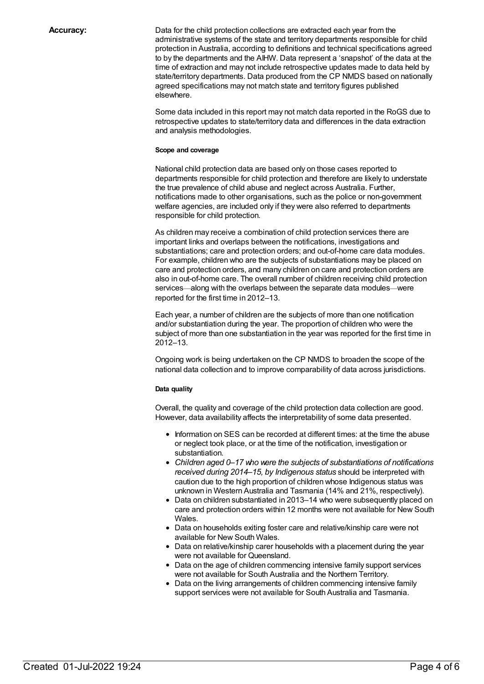**Accuracy:** Data for the child protection collections are extracted each year from the administrative systems of the state and territory departments responsible for child protection in Australia, according to definitions and technical specifications agreed to by the departments and the AIHW. Data represent a 'snapshot' of the data at the time of extraction and may not include retrospective updates made to data held by state/territory departments. Data produced from the CP NMDS based on nationally agreed specifications may not match state and territory figures published elsewhere.

> Some data included in this report may not match data reported in the RoGS due to retrospective updates to state/territory data and differences in the data extraction and analysis methodologies.

#### **Scope and coverage**

National child protection data are based only on those cases reported to departments responsible for child protection and therefore are likely to understate the true prevalence of child abuse and neglect across Australia. Further, notifications made to other organisations, such as the police or non-government welfare agencies, are included only if they were also referred to departments responsible for child protection.

As children may receive a combination of child protection services there are important links and overlaps between the notifications, investigations and substantiations; care and protection orders; and out-of-home care data modules. For example, children who are the subjects of substantiations may be placed on care and protection orders, and many children on care and protection orders are also in out-of-home care. The overall number of children receiving child protection services—along with the overlaps between the separate data modules—were reported for the first time in 2012–13.

Each year, a number of children are the subjects of more than one notification and/or substantiation during the year. The proportion of children who were the subject of more than one substantiation in the year was reported for the first time in 2012–13.

Ongoing work is being undertaken on the CP NMDS to broaden the scope of the national data collection and to improve comparability of data across jurisdictions.

#### **Data quality**

Overall, the quality and coverage of the child protection data collection are good. However, data availability affects the interpretability of some data presented.

- Information on SES can be recorded at different times: at the time the abuse or neglect took place, or at the time of the notification, investigation or substantiation.
- *Children aged 0–17 who were the subjects of substantiations of notifications received during 2014–15, by Indigenous status* should be interpreted with caution due to the high proportion of children whose Indigenous status was unknown in Western Australia and Tasmania (14% and 21%, respectively).
- Data on children substantiated in 2013–14 who were subsequently placed on care and protection orders within 12 months were not available for New South Wales.
- Data on households exiting foster care and relative/kinship care were not available for New South Wales.
- Data on relative/kinship carer households with a placement during the year were not available for Queensland.
- Data on the age of children commencing intensive family support services were not available for South Australia and the Northern Territory.
- Data on the living arrangements of children commencing intensive family support services were not available for South Australia and Tasmania.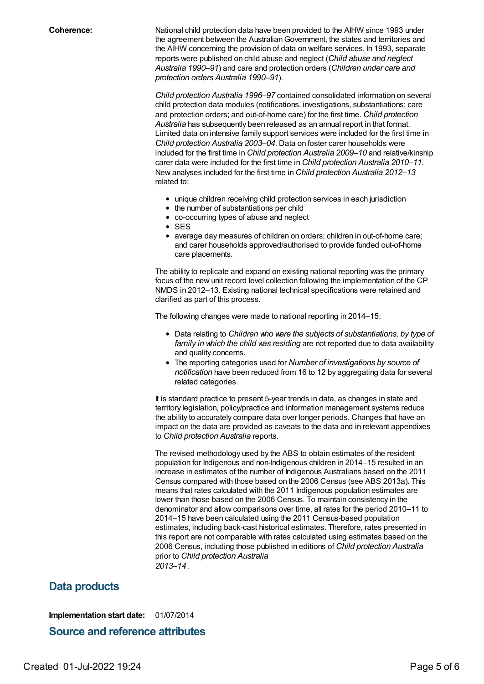**Coherence:** National child protection data have been provided to the AIHW since 1993 under the agreement between the AustralianGovernment, the states and territories and the AIHW concerning the provision of data on welfare services. In 1993, separate reports were published on child abuse and neglect (*Child abuse and neglect Australia 1990–91*) and care and protection orders (*Children under care and protection orders Australia 1990–91*).

> *Child protection Australia 1996–97* contained consolidated information on several child protection data modules (notifications, investigations, substantiations; care and protection orders; and out-of-home care) for the first time. *Child protection Australia* has subsequently been released as an annual report in that format. Limited data on intensive family support services were included for the first time in *Child protection Australia 2003–04*. Data on foster carer households were included for the first time in *Child protection Australia 2009–10* and relative/kinship carer data were included for the first time in *Child protection Australia 2010–11*. New analyses included for the first time in *Child protection Australia 2012–13* related to:

- unique children receiving child protection services in each jurisdiction
- the number of substantiations per child
- co-occurring types of abuse and neglect
- SES
- average day measures of children on orders; children in out-of-home care; and carer households approved/authorised to provide funded out-of-home care placements.

The ability to replicate and expand on existing national reporting was the primary focus of the new unit record level collection following the implementation of the CP NMDS in 2012–13. Existing national technical specifications were retained and clarified as part of this process.

The following changes were made to national reporting in 2014–15:

- Data relating to *Children who were the subjects of substantiations, by type of family in which the child was residing* are not reported due to data availability and quality concerns.
- The reporting categories used for *Number of investigations by source of notification* have been reduced from 16 to 12 by aggregating data for several related categories.

It is standard practice to present 5-year trends in data, as changes in state and territory legislation, policy/practice and information management systems reduce the ability to accurately compare data over longer periods. Changes that have an impact on the data are provided as caveats to the data and in relevant appendixes to *Child protection Australia* reports.

The revised methodology used by the ABS to obtain estimates of the resident population for Indigenous and non-Indigenous children in 2014–15 resulted in an increase in estimates of the number of Indigenous Australians based on the 2011 Census compared with those based on the 2006 Census (see ABS 2013a). This means that rates calculated with the 2011 Indigenous population estimates are lower than those based on the 2006 Census. To maintain consistency in the denominator and allow comparisons over time, all rates for the period 2010–11 to 2014–15 have been calculated using the 2011 Census-based population estimates, including back-cast historical estimates. Therefore, rates presented in this report are not comparable with rates calculated using estimates based on the 2006 Census, including those published in editions of *Child protection Australia* prior to *Child protection Australia 2013–14* .

### **Data products**

**Implementation start date:** 01/07/2014

### **Source and reference attributes**